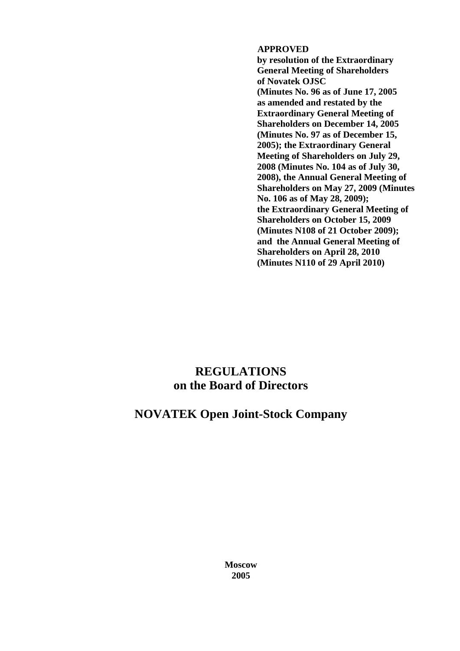## **APPROVED**

**by resolution of the Extraordinary General Meeting of Shareholders of Novatek OJSC (Minutes No. 96 as of June 17, 2005 as amended and restated by the Extraordinary General Meeting of Shareholders on December 14, 2005 (Minutes No. 97 as of December 15, 2005); the Extraordinary General Meeting of Shareholders on July 29, 2008 (Minutes No. 104 as of July 30, 2008), the Annual General Meeting of Shareholders on May 27, 2009 (Minutes No. 106 as of May 28, 2009); the Extraordinary General Meeting of Shareholders on October 15, 2009 (Minutes N108 of 21 October 2009); and the Annual General Meeting of Shareholders on April 28, 2010 (Minutes N110 of 29 April 2010)**

# **REGULATIONS on the Board of Directors**

## **NOVATEK Open Joint-Stock Company**

**Moscow 2005**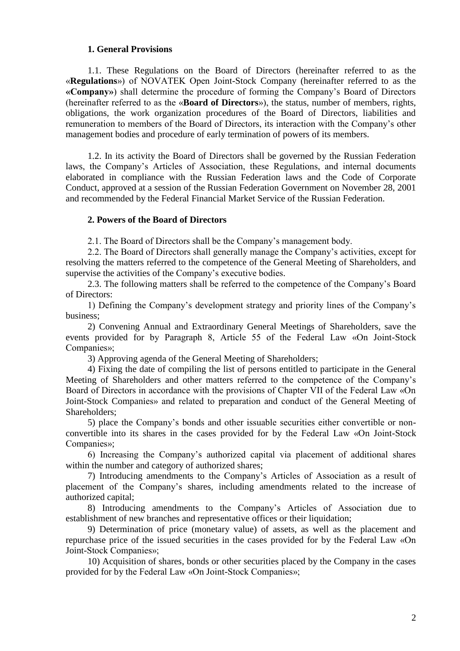## **1. General Provisions**

1.1. These Regulations on the Board of Directors (hereinafter referred to as the «**Regulations**») of NOVATEK Open Joint-Stock Company (hereinafter referred to as the **«Company»**) shall determine the procedure of forming the Company's Board of Directors (hereinafter referred to as the «**Board of Directors**»), the status, number of members, rights, obligations, the work organization procedures of the Board of Directors, liabilities and remuneration to members of the Board of Directors, its interaction with the Company's other management bodies and procedure of early termination of powers of its members.

1.2. In its activity the Board of Directors shall be governed by the Russian Federation laws, the Company's Articles of Association, these Regulations, and internal documents elaborated in compliance with the Russian Federation laws and the Code of Corporate Conduct, approved at a session of the Russian Federation Government on November 28, 2001 and recommended by the Federal Financial Market Service of the Russian Federation.

#### **2. Powers of the Board of Directors**

2.1. The Board of Directors shall be the Company's management body.

2.2. The Board of Directors shall generally manage the Company's activities, except for resolving the matters referred to the competence of the General Meeting of Shareholders, and supervise the activities of the Company's executive bodies.

2.3. The following matters shall be referred to the competence of the Company's Board of Directors:

1) Defining the Company's development strategy and priority lines of the Company's business;

2) Convening Annual and Extraordinary General Meetings of Shareholders, save the events provided for by Paragraph 8, Article 55 of the Federal Law «On Joint-Stock Companies»;

3) Approving agenda of the General Meeting of Shareholders;

4) Fixing the date of compiling the list of persons entitled to participate in the General Meeting of Shareholders and other matters referred to the competence of the Company's Board of Directors in accordance with the provisions of Chapter VII of the Federal Law «On Joint-Stock Companies» and related to preparation and conduct of the General Meeting of Shareholders;

5) place the Company's bonds and other issuable securities either convertible or nonconvertible into its shares in the cases provided for by the Federal Law «On Joint-Stock Companies»;

6) Increasing the Company's authorized capital via placement of additional shares within the number and category of authorized shares;

7) Introducing amendments to the Company's Articles of Association as a result of placement of the Company's shares, including amendments related to the increase of authorized capital;

8) Introducing amendments to the Company's Articles of Association due to establishment of new branches and representative offices or their liquidation;

9) Determination of price (monetary value) of assets, as well as the placement and repurchase price of the issued securities in the cases provided for by the Federal Law «On Joint-Stock Companies»;

10) Acquisition of shares, bonds or other securities placed by the Company in the cases provided for by the Federal Law «On Joint-Stock Companies»;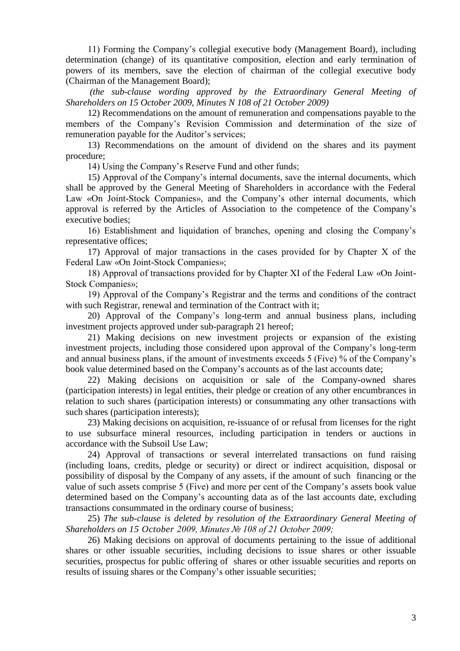11) Forming the Company's collegial executive body (Management Board), including determination (change) of its quantitative composition, election and early termination of powers of its members, save the election of chairman of the collegial executive body (Chairman of the Management Board);

*(the sub-clause wording approved by the Extraordinary General Meeting of Shareholders on 15 October 2009, Minutes N 108 of 21 October 2009)*

12) Recommendations on the amount of remuneration and compensations payable to the members of the Company's Revision Commission and determination of the size of remuneration payable for the Auditor's services;

13) Recommendations on the amount of dividend on the shares and its payment procedure;

14) Using the Company's Reserve Fund and other funds;

15) Approval of the Company's internal documents, save the internal documents, which shall be approved by the General Meeting of Shareholders in accordance with the Federal Law «On Joint-Stock Companies», and the Company's other internal documents, which approval is referred by the Articles of Association to the competence of the Company's executive bodies;

16) Establishment and liquidation of branches, opening and closing the Company's representative offices;

17) Approval of major transactions in the cases provided for by Chapter Х of the Federal Law «On Joint-Stock Companies»;

18) Approval of transactions provided for by Chapter ХI of the Federal Law «On Joint-Stock Companies»;

19) Approval of the Company's Registrar and the terms and conditions of the contract with such Registrar, renewal and termination of the Contract with it;

20) Approval of the Company's long-term and annual business plans, including investment projects approved under sub-paragraph 21 hereof;

21) Making decisions on new investment projects or expansion of the existing investment projects, including those considered upon approval of the Company's long-term and annual business plans, if the amount of investments exceeds 5 (Five) % of the Company's book value determined based on the Company's accounts as of the last accounts date;

22) Making decisions on acquisition or sale of the Company-owned shares (participation interests) in legal entities, their pledge or creation of any other encumbrances in relation to such shares (participation interests) or consummating any other transactions with such shares (participation interests);

23) Making decisions on acquisition, re-issuance of or refusal from licenses for the right to use subsurface mineral resources, including participation in tenders or auctions in accordance with the Subsoil Use Law;

24) Approval of transactions or several interrelated transactions on fund raising (including loans, credits, pledge or security) or direct or indirect acquisition, disposal or possibility of disposal by the Company of any assets, if the amount of such financing or the value of such assets comprise 5 (Five) and more per cent of the Company's assets book value determined based on the Company's accounting data as of the last accounts date, excluding transactions consummated in the ordinary course of business;

25) *The sub-clause is deleted by resolution of the Extraordinary General Meeting of Shareholders on 15 October 2009, Minutes № 108 of 21 October 2009;*

26) Making decisions on approval of documents pertaining to the issue of additional shares or other issuable securities, including decisions to issue shares or other issuable securities, prospectus for public offering of shares or other issuable securities and reports on results of issuing shares or the Company's other issuable securities;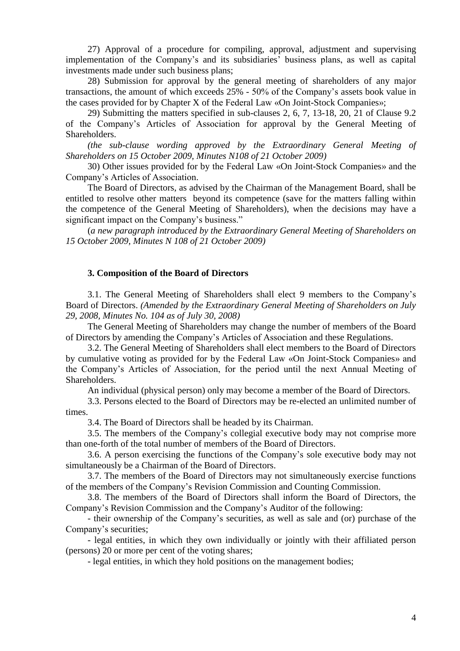27) Approval of a procedure for compiling, approval, adjustment and supervising implementation of the Company's and its subsidiaries' business plans, as well as capital investments made under such business plans;

28) Submission for approval by the general meeting of shareholders of any major transactions, the amount of which exceeds 25% - 50% of the Company's assets book value in the cases provided for by Chapter X of the Federal Law «On Joint-Stock Companies»;

29) Submitting the matters specified in sub-clauses 2, 6, 7, 13-18, 20, 21 of Clause 9.2 of the Company's Articles of Association for approval by the General Meeting of Shareholders.

*(the sub-clause wording approved by the Extraordinary General Meeting of Shareholders on 15 October 2009, Minutes N108 of 21 October 2009)*

30) Other issues provided for by the Federal Law «On Joint-Stock Companies» and the Company's Articles of Association.

The Board of Directors, as advised by the Chairman of the Management Board, shall be entitled to resolve other matters beyond its competence (save for the matters falling within the competence of the General Meeting of Shareholders), when the decisions may have a significant impact on the Company's business."

(*a new paragraph introduced by the Extraordinary General Meeting of Shareholders on 15 October 2009, Minutes N 108 of 21 October 2009)*

#### **3. Composition of the Board of Directors**

3.1. The General Meeting of Shareholders shall elect 9 members to the Company's Board of Directors. *(Amended by the Extraordinary General Meeting of Shareholders on July 29, 2008, Minutes No. 104 as of July 30, 2008)*

The General Meeting of Shareholders may change the number of members of the Board of Directors by amending the Company's Articles of Association and these Regulations.

3.2. The General Meeting of Shareholders shall elect members to the Board of Directors by cumulative voting as provided for by the Federal Law «On Joint-Stock Companies» and the Company's Articles of Association, for the period until the next Annual Meeting of Shareholders.

An individual (physical person) only may become a member of the Board of Directors.

3.3. Persons elected to the Board of Directors may be re-elected an unlimited number of times.

3.4. The Board of Directors shall be headed by its Chairman.

3.5. The members of the Company's collegial executive body may not comprise more than one-forth of the total number of members of the Board of Directors.

3.6. A person exercising the functions of the Company's sole executive body may not simultaneously be a Chairman of the Board of Directors.

3.7. The members of the Board of Directors may not simultaneously exercise functions of the members of the Company's Revision Commission and Counting Commission.

3.8. The members of the Board of Directors shall inform the Board of Directors, the Company's Revision Commission and the Company's Auditor of the following:

- their ownership of the Company's securities, as well as sale and (or) purchase of the Company's securities;

- legal entities, in which they own individually or jointly with their affiliated person (persons) 20 or more per cent of the voting shares;

- legal entities, in which they hold positions on the management bodies;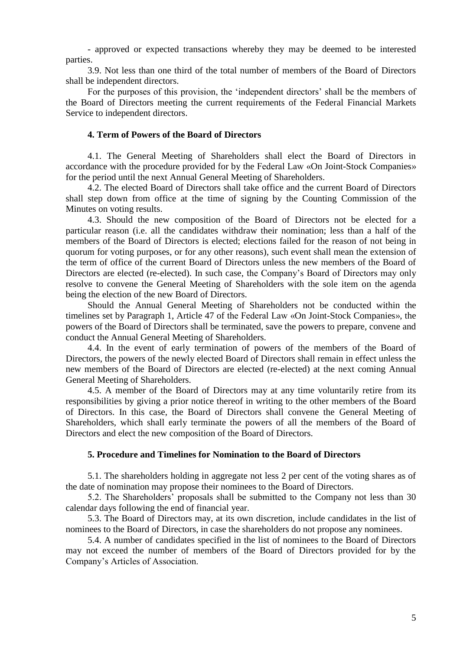- approved or expected transactions whereby they may be deemed to be interested parties.

3.9. Not less than one third of the total number of members of the Board of Directors shall be independent directors.

For the purposes of this provision, the 'independent directors' shall be the members of the Board of Directors meeting the current requirements of the Federal Financial Markets Service to independent directors.

## **4. Term of Powers of the Board of Directors**

4.1. The General Meeting of Shareholders shall elect the Board of Directors in accordance with the procedure provided for by the Federal Law «On Joint-Stock Companies» for the period until the next Annual General Meeting of Shareholders.

4.2. The elected Board of Directors shall take office and the current Board of Directors shall step down from office at the time of signing by the Counting Commission of the Minutes on voting results.

4.3. Should the new composition of the Board of Directors not be elected for a particular reason (i.e. all the candidates withdraw their nomination; less than a half of the members of the Board of Directors is elected; elections failed for the reason of not being in quorum for voting purposes, or for any other reasons), such event shall mean the extension of the term of office of the current Board of Directors unless the new members of the Board of Directors are elected (re-elected). In such case, the Company's Board of Directors may only resolve to convene the General Meeting of Shareholders with the sole item on the agenda being the election of the new Board of Directors.

Should the Annual General Meeting of Shareholders not be conducted within the timelines set by Paragraph 1, Article 47 of the Federal Law «On Joint-Stock Companies», the powers of the Board of Directors shall be terminated, save the powers to prepare, convene and conduct the Annual General Meeting of Shareholders.

4.4. In the event of early termination of powers of the members of the Board of Directors, the powers of the newly elected Board of Directors shall remain in effect unless the new members of the Board of Directors are elected (re-elected) at the next coming Annual General Meeting of Shareholders.

4.5. A member of the Board of Directors may at any time voluntarily retire from its responsibilities by giving a prior notice thereof in writing to the other members of the Board of Directors. In this case, the Board of Directors shall convene the General Meeting of Shareholders, which shall early terminate the powers of all the members of the Board of Directors and elect the new composition of the Board of Directors.

#### **5. Procedure and Timelines for Nomination to the Board of Directors**

5.1. The shareholders holding in aggregate not less 2 per cent of the voting shares as of the date of nomination may propose their nominees to the Board of Directors.

5.2. The Shareholders' proposals shall be submitted to the Company not less than 30 calendar days following the end of financial year.

5.3. The Board of Directors may, at its own discretion, include candidates in the list of nominees to the Board of Directors, in case the shareholders do not propose any nominees.

5.4. A number of candidates specified in the list of nominees to the Board of Directors may not exceed the number of members of the Board of Directors provided for by the Company's Articles of Association.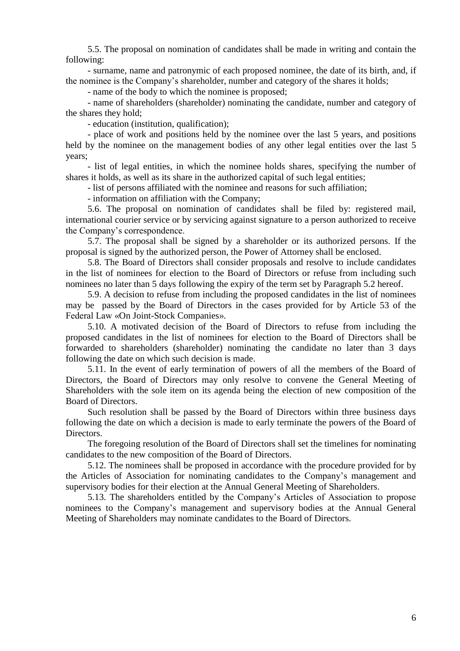5.5. The proposal on nomination of candidates shall be made in writing and contain the following:

- surname, name and patronymic of each proposed nominee, the date of its birth, and, if the nominee is the Company's shareholder, number and category of the shares it holds;

- name of the body to which the nominee is proposed;

- name of shareholders (shareholder) nominating the candidate, number and category of the shares they hold;

- education (institution, qualification);

- place of work and positions held by the nominee over the last 5 years, and positions held by the nominee on the management bodies of any other legal entities over the last 5 years;

- list of legal entities, in which the nominee holds shares, specifying the number of shares it holds, as well as its share in the authorized capital of such legal entities;

- list of persons affiliated with the nominee and reasons for such affiliation;

- information on affiliation with the Company;

5.6. The proposal on nomination of candidates shall be filed by: registered mail, international courier service or by servicing against signature to a person authorized to receive the Company's correspondence.

5.7. The proposal shall be signed by a shareholder or its authorized persons. If the proposal is signed by the authorized person, the Power of Attorney shall be enclosed.

5.8. The Board of Directors shall consider proposals and resolve to include candidates in the list of nominees for election to the Board of Directors or refuse from including such nominees no later than 5 days following the expiry of the term set by Paragraph 5.2 hereof.

5.9. A decision to refuse from including the proposed candidates in the list of nominees may be passed by the Board of Directors in the cases provided for by Article 53 of the Federal Law «On Joint-Stock Companies».

5.10. A motivated decision of the Board of Directors to refuse from including the proposed candidates in the list of nominees for election to the Board of Directors shall be forwarded to shareholders (shareholder) nominating the candidate no later than 3 days following the date on which such decision is made.

5.11. In the event of early termination of powers of all the members of the Board of Directors, the Board of Directors may only resolve to convene the General Meeting of Shareholders with the sole item on its agenda being the election of new composition of the Board of Directors.

Such resolution shall be passed by the Board of Directors within three business days following the date on which a decision is made to early terminate the powers of the Board of Directors.

The foregoing resolution of the Board of Directors shall set the timelines for nominating candidates to the new composition of the Board of Directors.

5.12. The nominees shall be proposed in accordance with the procedure provided for by the Articles of Association for nominating candidates to the Company's management and supervisory bodies for their election at the Annual General Meeting of Shareholders.

5.13. The shareholders entitled by the Company's Articles of Association to propose nominees to the Company's management and supervisory bodies at the Annual General Meeting of Shareholders may nominate candidates to the Board of Directors.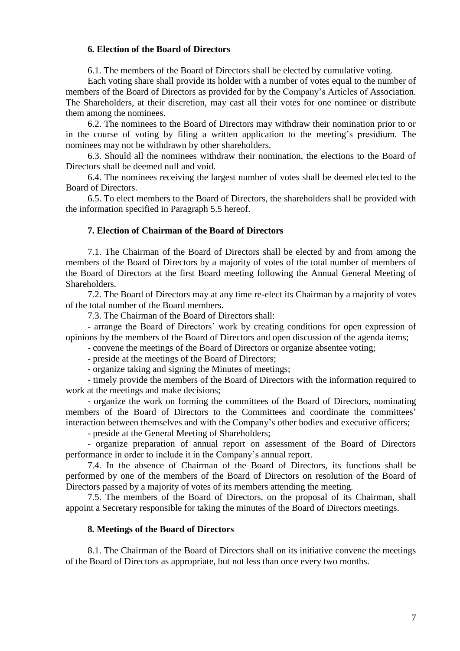## **6. Election of the Board of Directors**

6.1. The members of the Board of Directors shall be elected by cumulative voting.

Each voting share shall provide its holder with a number of votes equal to the number of members of the Board of Directors as provided for by the Company's Articles of Association. The Shareholders, at their discretion, may cast all their votes for one nominee or distribute them among the nominees.

6.2. The nominees to the Board of Directors may withdraw their nomination prior to or in the course of voting by filing a written application to the meeting's presidium. The nominees may not be withdrawn by other shareholders.

6.3. Should all the nominees withdraw their nomination, the elections to the Board of Directors shall be deemed null and void.

6.4. The nominees receiving the largest number of votes shall be deemed elected to the Board of Directors.

6.5. To elect members to the Board of Directors, the shareholders shall be provided with the information specified in Paragraph 5.5 hereof.

#### **7. Election of Chairman of the Board of Directors**

7.1. The Chairman of the Board of Directors shall be elected by and from among the members of the Board of Directors by a majority of votes of the total number of members of the Board of Directors at the first Board meeting following the Annual General Meeting of Shareholders.

7.2. The Board of Directors may at any time re-elect its Chairman by a majority of votes of the total number of the Board members.

7.3. The Chairman of the Board of Directors shall:

- arrange the Board of Directors' work by creating conditions for open expression of opinions by the members of the Board of Directors and open discussion of the agenda items;

- convene the meetings of the Board of Directors or organize absentee voting;

- preside at the meetings of the Board of Directors;

- organize taking and signing the Minutes of meetings;

- timely provide the members of the Board of Directors with the information required to work at the meetings and make decisions;

- organize the work on forming the committees of the Board of Directors, nominating members of the Board of Directors to the Committees and coordinate the committees' interaction between themselves and with the Company's other bodies and executive officers;

- preside at the General Meeting of Shareholders;

- organize preparation of annual report on assessment of the Board of Directors performance in order to include it in the Company's annual report.

7.4. In the absence of Chairman of the Board of Directors, its functions shall be performed by one of the members of the Board of Directors on resolution of the Board of Directors passed by a majority of votes of its members attending the meeting.

7.5. The members of the Board of Directors, on the proposal of its Chairman, shall appoint a Secretary responsible for taking the minutes of the Board of Directors meetings.

#### **8. Meetings of the Board of Directors**

8.1. The Chairman of the Board of Directors shall on its initiative convene the meetings of the Board of Directors as appropriate, but not less than once every two months.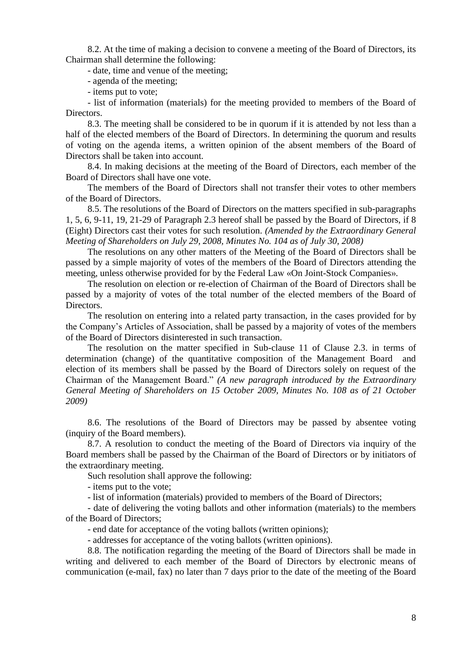8.2. At the time of making a decision to convene a meeting of the Board of Directors, its Chairman shall determine the following:

- date, time and venue of the meeting;

- agenda of the meeting;
- items put to vote;

- list of information (materials) for the meeting provided to members of the Board of Directors.

8.3. The meeting shall be considered to be in quorum if it is attended by not less than a half of the elected members of the Board of Directors. In determining the quorum and results of voting on the agenda items, a written opinion of the absent members of the Board of Directors shall be taken into account.

8.4. In making decisions at the meeting of the Board of Directors, each member of the Board of Directors shall have one vote.

The members of the Board of Directors shall not transfer their votes to other members of the Board of Directors.

8.5. The resolutions of the Board of Directors on the matters specified in sub-paragraphs 1, 5, 6, 9-11, 19, 21-29 of Paragraph 2.3 hereof shall be passed by the Board of Directors, if 8 (Eight) Directors cast their votes for such resolution. *(Amended by the Extraordinary General Meeting of Shareholders on July 29, 2008, Minutes No. 104 as of July 30, 2008)*

The resolutions on any other matters of the Meeting of the Board of Directors shall be passed by a simple majority of votes of the members of the Board of Directors attending the meeting, unless otherwise provided for by the Federal Law «On Joint-Stock Companies».

The resolution on election or re-election of Chairman of the Board of Directors shall be passed by a majority of votes of the total number of the elected members of the Board of Directors.

The resolution on entering into a related party transaction, in the cases provided for by the Company's Articles of Association, shall be passed by a majority of votes of the members of the Board of Directors disinterested in such transaction.

The resolution on the matter specified in Sub-clause 11 of Clause 2.3. in terms of determination (change) of the quantitative composition of the Management Board and election of its members shall be passed by the Board of Directors solely on request of the Chairman of the Management Board." *(A new paragraph introduced by the Extraordinary General Meeting of Shareholders on 15 October 2009, Minutes No. 108 as of 21 October 2009)*

8.6. The resolutions of the Board of Directors may be passed by absentee voting (inquiry of the Board members).

8.7. A resolution to conduct the meeting of the Board of Directors via inquiry of the Board members shall be passed by the Chairman of the Board of Directors or by initiators of the extraordinary meeting.

Such resolution shall approve the following:

- items put to the vote;

- list of information (materials) provided to members of the Board of Directors;

- date of delivering the voting ballots and other information (materials) to the members of the Board of Directors;

- end date for acceptance of the voting ballots (written opinions);

- addresses for acceptance of the voting ballots (written opinions).

8.8. The notification regarding the meeting of the Board of Directors shall be made in writing and delivered to each member of the Board of Directors by electronic means of communication (e-mail, fax) no later than 7 days prior to the date of the meeting of the Board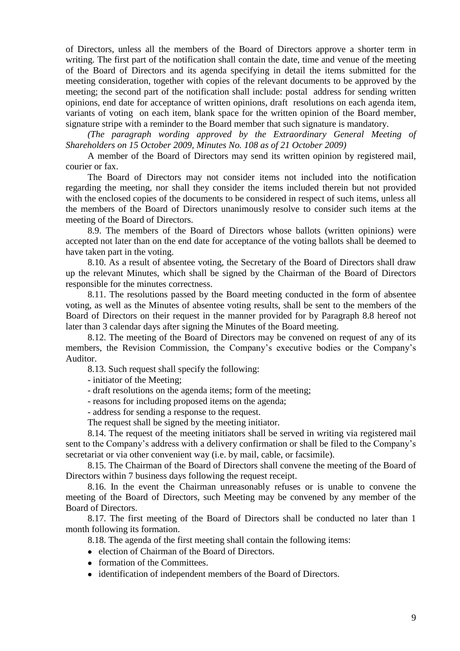of Directors, unless all the members of the Board of Directors approve a shorter term in writing. The first part of the notification shall contain the date, time and venue of the meeting of the Board of Directors and its agenda specifying in detail the items submitted for the meeting consideration, together with copies of the relevant documents to be approved by the meeting; the second part of the notification shall include: postal address for sending written opinions, end date for acceptance of written opinions, draft resolutions on each agenda item, variants of voting on each item, blank space for the written opinion of the Board member, signature stripe with a reminder to the Board member that such signature is mandatory.

*(The paragraph wording approved by the Extraordinary General Meeting of Shareholders on 15 October 2009, Minutes No. 108 as of 21 October 2009)*

A member of the Board of Directors may send its written opinion by registered mail, courier or fax.

The Board of Directors may not consider items not included into the notification regarding the meeting, nor shall they consider the items included therein but not provided with the enclosed copies of the documents to be considered in respect of such items, unless all the members of the Board of Directors unanimously resolve to consider such items at the meeting of the Board of Directors.

8.9. The members of the Board of Directors whose ballots (written opinions) were accepted not later than on the end date for acceptance of the voting ballots shall be deemed to have taken part in the voting.

8.10. As a result of absentee voting, the Secretary of the Board of Directors shall draw up the relevant Minutes, which shall be signed by the Chairman of the Board of Directors responsible for the minutes correctness.

8.11. The resolutions passed by the Board meeting conducted in the form of absentee voting, as well as the Minutes of absentee voting results, shall be sent to the members of the Board of Directors on their request in the manner provided for by Paragraph 8.8 hereof not later than 3 calendar days after signing the Minutes of the Board meeting.

8.12. The meeting of the Board of Directors may be convened on request of any of its members, the Revision Commission, the Company's executive bodies or the Company's Auditor.

8.13. Such request shall specify the following:

- initiator of the Meeting;

- draft resolutions on the agenda items; form of the meeting;
- reasons for including proposed items on the agenda;
- address for sending a response to the request.

The request shall be signed by the meeting initiator.

8.14. The request of the meeting initiators shall be served in writing via registered mail sent to the Company's address with a delivery confirmation or shall be filed to the Company's secretariat or via other convenient way (i.e. by mail, cable, or facsimile).

8.15. The Chairman of the Board of Directors shall convene the meeting of the Board of Directors within 7 business days following the request receipt.

8.16. In the event the Chairman unreasonably refuses or is unable to convene the meeting of the Board of Directors, such Meeting may be convened by any member of the Board of Directors.

8.17. The first meeting of the Board of Directors shall be conducted no later than 1 month following its formation.

8.18. The agenda of the first meeting shall contain the following items:

- election of Chairman of the Board of Directors.
- formation of the Committees.
- identification of independent members of the Board of Directors.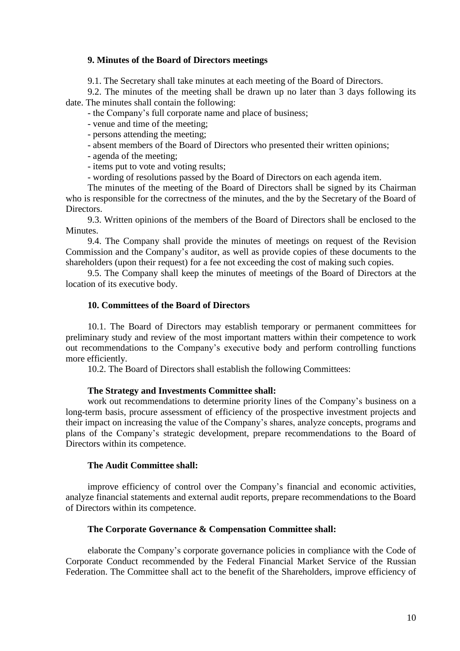## **9. Minutes of the Board of Directors meetings**

9.1. The Secretary shall take minutes at each meeting of the Board of Directors.

9.2. The minutes of the meeting shall be drawn up no later than 3 days following its date. The minutes shall contain the following:

- the Company's full corporate name and place of business;

- venue and time of the meeting;

- persons attending the meeting;

- absent members of the Board of Directors who presented their written opinions;

- agenda of the meeting;

- items put to vote and voting results;

- wording of resolutions passed by the Board of Directors on each agenda item.

The minutes of the meeting of the Board of Directors shall be signed by its Chairman who is responsible for the correctness of the minutes, and the by the Secretary of the Board of Directors.

9.3. Written opinions of the members of the Board of Directors shall be enclosed to the Minutes.

9.4. The Company shall provide the minutes of meetings on request of the Revision Commission and the Company's auditor, as well as provide copies of these documents to the shareholders (upon their request) for a fee not exceeding the cost of making such copies.

9.5. The Company shall keep the minutes of meetings of the Board of Directors at the location of its executive body.

## **10. Committees of the Board of Directors**

10.1. The Board of Directors may establish temporary or permanent committees for preliminary study and review of the most important matters within their competence to work out recommendations to the Company's executive body and perform controlling functions more efficiently.

10.2. The Board of Directors shall establish the following Committees:

#### **The Strategy and Investments Committee shall:**

work out recommendations to determine priority lines of the Company's business on a long-term basis, procure assessment of efficiency of the prospective investment projects and their impact on increasing the value of the Company's shares, analyze concepts, programs and plans of the Company's strategic development, prepare recommendations to the Board of Directors within its competence.

## **The Audit Committee shall:**

improve efficiency of control over the Company's financial and economic activities, analyze financial statements and external audit reports, prepare recommendations to the Board of Directors within its competence.

## **The Corporate Governance & Compensation Committee shall:**

elaborate the Company's corporate governance policies in compliance with the Code of Corporate Conduct recommended by the Federal Financial Market Service of the Russian Federation. The Committee shall act to the benefit of the Shareholders, improve efficiency of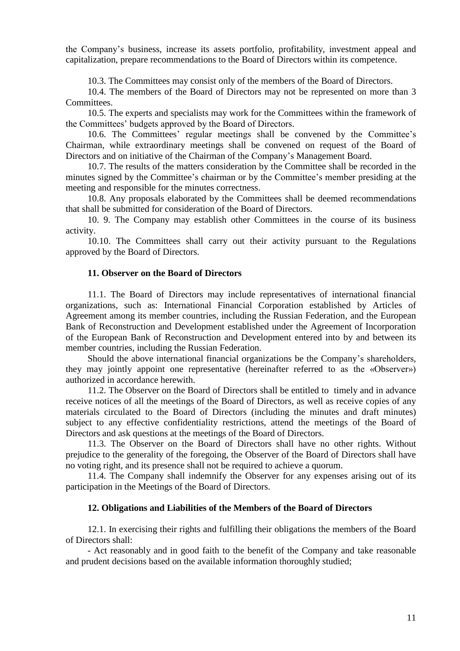the Company's business, increase its assets portfolio, profitability, investment appeal and capitalization, prepare recommendations to the Board of Directors within its competence.

10.3. The Committees may consist only of the members of the Board of Directors.

10.4. The members of the Board of Directors may not be represented on more than 3 Committees.

10.5. The experts and specialists may work for the Committees within the framework of the Committees' budgets approved by the Board of Directors.

10.6. The Committees' regular meetings shall be convened by the Committee's Chairman, while extraordinary meetings shall be convened on request of the Board of Directors and on initiative of the Chairman of the Company's Management Board.

10.7. The results of the matters consideration by the Committee shall be recorded in the minutes signed by the Committee's chairman or by the Committee's member presiding at the meeting and responsible for the minutes correctness.

10.8. Any proposals elaborated by the Committees shall be deemed recommendations that shall be submitted for consideration of the Board of Directors.

10. 9. The Company may establish other Committees in the course of its business activity.

10.10. The Committees shall carry out their activity pursuant to the Regulations approved by the Board of Directors.

#### **11. Observer on the Board of Directors**

11.1. The Board of Directors may include representatives of international financial organizations, such as: International Financial Corporation established by Articles of Agreement among its member countries, including the Russian Federation, and the European Bank of Reconstruction and Development established under the Agreement of Incorporation of the European Bank of Reconstruction and Development entered into by and between its member countries, including the Russian Federation.

Should the above international financial organizations be the Company's shareholders, they may jointly appoint one representative (hereinafter referred to as the «Observer») authorized in accordance herewith.

11.2. The Observer on the Board of Directors shall be entitled to timely and in advance receive notices of all the meetings of the Board of Directors, as well as receive copies of any materials circulated to the Board of Directors (including the minutes and draft minutes) subject to any effective confidentiality restrictions, attend the meetings of the Board of Directors and ask questions at the meetings of the Board of Directors.

11.3. The Observer on the Board of Directors shall have no other rights. Without prejudice to the generality of the foregoing, the Observer of the Board of Directors shall have no voting right, and its presence shall not be required to achieve a quorum.

11.4. The Company shall indemnify the Observer for any expenses arising out of its participation in the Meetings of the Board of Directors.

## **12. Obligations and Liabilities of the Members of the Board of Directors**

12.1. In exercising their rights and fulfilling their obligations the members of the Board of Directors shall:

- Act reasonably and in good faith to the benefit of the Company and take reasonable and prudent decisions based on the available information thoroughly studied;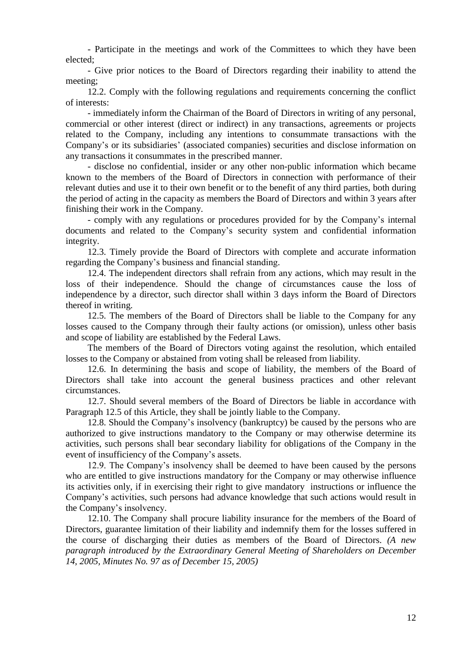- Participate in the meetings and work of the Committees to which they have been elected;

- Give prior notices to the Board of Directors regarding their inability to attend the meeting;

12.2. Comply with the following regulations and requirements concerning the conflict of interests:

- immediately inform the Chairman of the Board of Directors in writing of any personal, commercial or other interest (direct or indirect) in any transactions, agreements or projects related to the Company, including any intentions to consummate transactions with the Company's or its subsidiaries' (associated companies) securities and disclose information on any transactions it consummates in the prescribed manner.

- disclose no confidential, insider or any other non-public information which became known to the members of the Board of Directors in connection with performance of their relevant duties and use it to their own benefit or to the benefit of any third parties, both during the period of acting in the capacity as members the Board of Directors and within 3 years after finishing their work in the Company.

- comply with any regulations or procedures provided for by the Company's internal documents and related to the Company's security system and confidential information integrity.

12.3. Timely provide the Board of Directors with complete and accurate information regarding the Company's business and financial standing.

12.4. The independent directors shall refrain from any actions, which may result in the loss of their independence. Should the change of circumstances cause the loss of independence by a director, such director shall within 3 days inform the Board of Directors thereof in writing.

12.5. The members of the Board of Directors shall be liable to the Company for any losses caused to the Company through their faulty actions (or omission), unless other basis and scope of liability are established by the Federal Laws.

The members of the Board of Directors voting against the resolution, which entailed losses to the Company or abstained from voting shall be released from liability.

12.6. In determining the basis and scope of liability, the members of the Board of Directors shall take into account the general business practices and other relevant circumstances.

12.7. Should several members of the Board of Directors be liable in accordance with Paragraph 12.5 of this Article, they shall be jointly liable to the Company.

12.8. Should the Company's insolvency (bankruptcy) be caused by the persons who are authorized to give instructions mandatory to the Company or may otherwise determine its activities, such persons shall bear secondary liability for obligations of the Company in the event of insufficiency of the Company's assets.

12.9. The Company's insolvency shall be deemed to have been caused by the persons who are entitled to give instructions mandatory for the Company or may otherwise influence its activities only, if in exercising their right to give mandatory instructions or influence the Company's activities, such persons had advance knowledge that such actions would result in the Company's insolvency.

12.10. The Company shall procure liability insurance for the members of the Board of Directors, guarantee limitation of their liability and indemnify them for the losses suffered in the course of discharging their duties as members of the Board of Directors. *(A new paragraph introduced by the Extraordinary General Meeting of Shareholders on December 14, 2005, Minutes No. 97 as of December 15, 2005)*